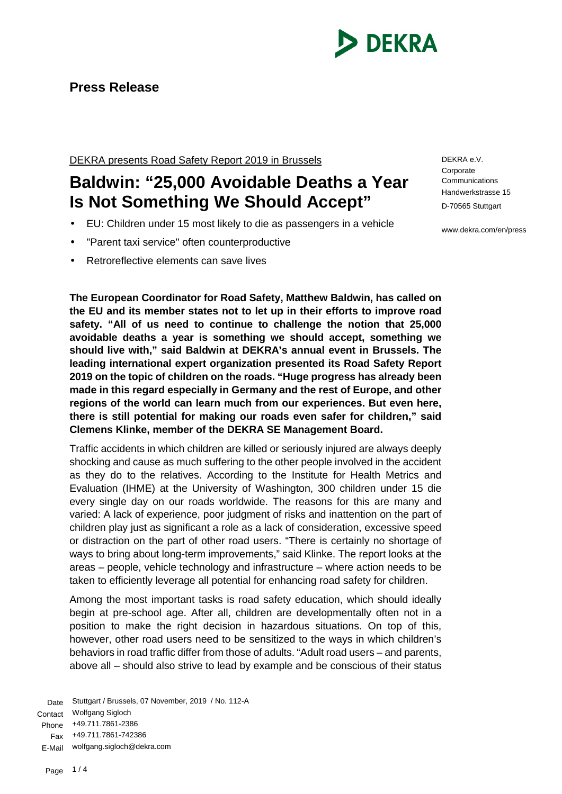

# **Press Release**

DEKRA presents Road Safety Report 2019 in Brussels

# **Baldwin: "25,000 Avoidable Deaths a Year Is Not Something We Should Accept"**

- EU: Children under 15 most likely to die as passengers in a vehicle
- "Parent taxi service" often counterproductive
- Retroreflective elements can save lives

**The European Coordinator for Road Safety, Matthew Baldwin, has called on the EU and its member states not to let up in their efforts to improve road safety. "All of us need to continue to challenge the notion that 25,000 avoidable deaths a year is something we should accept, something we should live with," said Baldwin at DEKRA's annual event in Brussels. The leading international expert organization presented its Road Safety Report 2019 on the topic of children on the roads. "Huge progress has already been made in this regard especially in Germany and the rest of Europe, and other regions of the world can learn much from our experiences. But even here, there is still potential for making our roads even safer for children," said Clemens Klinke, member of the DEKRA SE Management Board.**

Traffic accidents in which children are killed or seriously injured are always deeply shocking and cause as much suffering to the other people involved in the accident as they do to the relatives. According to the Institute for Health Metrics and Evaluation (IHME) at the University of Washington, 300 children under 15 die every single day on our roads worldwide. The reasons for this are many and varied: A lack of experience, poor judgment of risks and inattention on the part of children play just as significant a role as a lack of consideration, excessive speed or distraction on the part of other road users. "There is certainly no shortage of ways to bring about long-term improvements," said Klinke. The report looks at the areas – people, vehicle technology and infrastructure – where action needs to be taken to efficiently leverage all potential for enhancing road safety for children.

Among the most important tasks is road safety education, which should ideally begin at pre-school age. After all, children are developmentally often not in a position to make the right decision in hazardous situations. On top of this, however, other road users need to be sensitized to the ways in which children's behaviors in road traffic differ from those of adults. "Adult road users – and parents, above all – should also strive to lead by example and be conscious of their status

Date Stuttgart / Brussels, 07 November, 2019 / No. 112-A Contact Wolfgang Sigloch Phone +49.711.7861-2386 Fax +49.711.7861-742386 E-Mail wolfgang.sigloch@dekra.com

DEKRA e.V. **Corporate Communications** Handwerkstrasse 15 D-70565 Stuttgart

www.dekra.com/en/press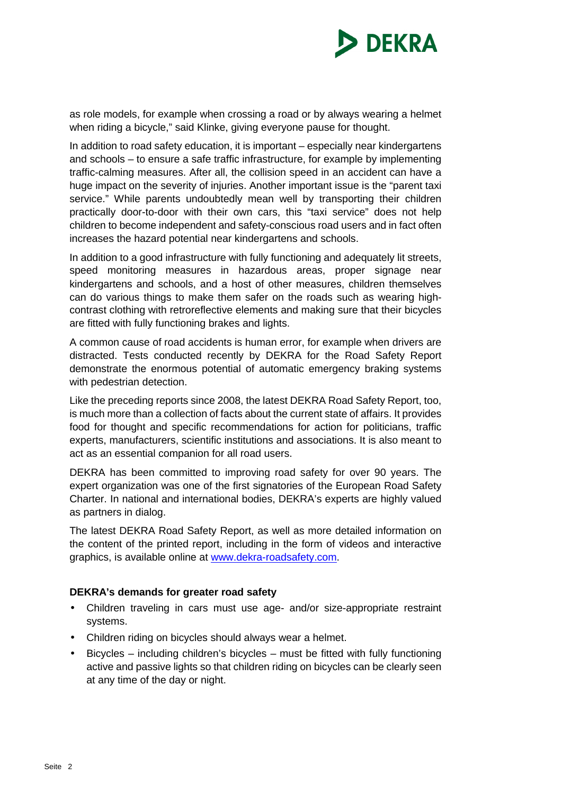

as role models, for example when crossing a road or by always wearing a helmet when riding a bicycle," said Klinke, giving everyone pause for thought.

In addition to road safety education, it is important – especially near kindergartens and schools – to ensure a safe traffic infrastructure, for example by implementing traffic-calming measures. After all, the collision speed in an accident can have a huge impact on the severity of injuries. Another important issue is the "parent taxi service." While parents undoubtedly mean well by transporting their children practically door-to-door with their own cars, this "taxi service" does not help children to become independent and safety-conscious road users and in fact often increases the hazard potential near kindergartens and schools.

In addition to a good infrastructure with fully functioning and adequately lit streets, speed monitoring measures in hazardous areas, proper signage near kindergartens and schools, and a host of other measures, children themselves can do various things to make them safer on the roads such as wearing highcontrast clothing with retroreflective elements and making sure that their bicycles are fitted with fully functioning brakes and lights.

A common cause of road accidents is human error, for example when drivers are distracted. Tests conducted recently by DEKRA for the Road Safety Report demonstrate the enormous potential of automatic emergency braking systems with pedestrian detection.

Like the preceding reports since 2008, the latest DEKRA Road Safety Report, too, is much more than a collection of facts about the current state of affairs. It provides food for thought and specific recommendations for action for politicians, traffic experts, manufacturers, scientific institutions and associations. It is also meant to act as an essential companion for all road users.

DEKRA has been committed to improving road safety for over 90 years. The expert organization was one of the first signatories of the European Road Safety Charter. In national and international bodies, DEKRA's experts are highly valued as partners in dialog.

The latest DEKRA Road Safety Report, as well as more detailed information on the content of the printed report, including in the form of videos and interactive graphics, is available online at www.dekra-roadsafety.com.

## **DEKRA's demands for greater road safety**

- Children traveling in cars must use age- and/or size-appropriate restraint systems.
- Children riding on bicycles should always wear a helmet.
- Bicycles including children's bicycles must be fitted with fully functioning active and passive lights so that children riding on bicycles can be clearly seen at any time of the day or night.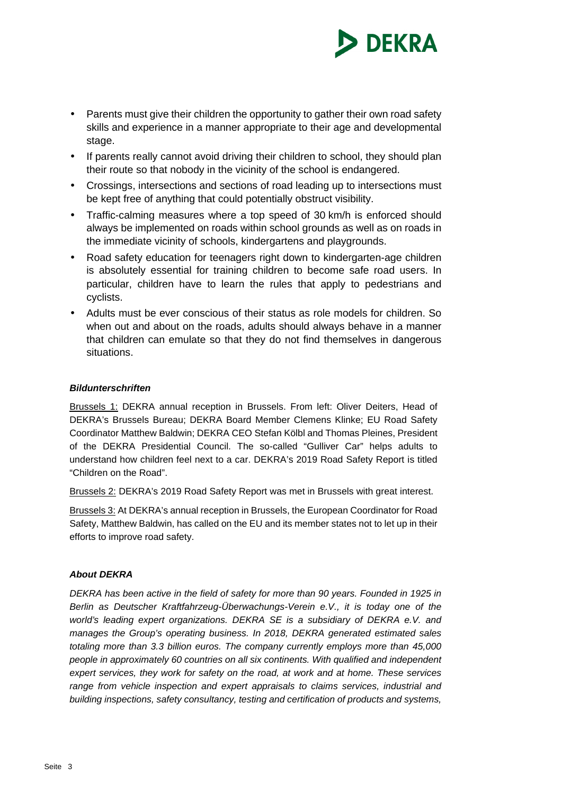

- Parents must give their children the opportunity to gather their own road safety skills and experience in a manner appropriate to their age and developmental stage.
- If parents really cannot avoid driving their children to school, they should plan their route so that nobody in the vicinity of the school is endangered.
- Crossings, intersections and sections of road leading up to intersections must be kept free of anything that could potentially obstruct visibility.
- Traffic-calming measures where a top speed of 30 km/h is enforced should always be implemented on roads within school grounds as well as on roads in the immediate vicinity of schools, kindergartens and playgrounds.
- Road safety education for teenagers right down to kindergarten-age children is absolutely essential for training children to become safe road users. In particular, children have to learn the rules that apply to pedestrians and cyclists.
- Adults must be ever conscious of their status as role models for children. So when out and about on the roads, adults should always behave in a manner that children can emulate so that they do not find themselves in dangerous situations.

### *Bildunterschriften*

Brussels 1: DEKRA annual reception in Brussels. From left: Oliver Deiters, Head of DEKRA's Brussels Bureau; DEKRA Board Member Clemens Klinke; EU Road Safety Coordinator Matthew Baldwin; DEKRA CEO Stefan Kölbl and Thomas Pleines, President of the DEKRA Presidential Council. The so-called "Gulliver Car" helps adults to understand how children feel next to a car. DEKRA's 2019 Road Safety Report is titled "Children on the Road".

Brussels 2: DEKRA's 2019 Road Safety Report was met in Brussels with great interest.

Brussels 3: At DEKRA's annual reception in Brussels, the European Coordinator for Road Safety, Matthew Baldwin, has called on the EU and its member states not to let up in their efforts to improve road safety.

### *About DEKRA*

*DEKRA has been active in the field of safety for more than 90 years. Founded in 1925 in Berlin as Deutscher Kraftfahrzeug-Überwachungs-Verein e.V., it is today one of the world's leading expert organizations. DEKRA SE is a subsidiary of DEKRA e.V. and manages the Group's operating business. In 2018, DEKRA generated estimated sales totaling more than 3.3 billion euros. The company currently employs more than 45,000 people in approximately 60 countries on all six continents. With qualified and independent expert services, they work for safety on the road, at work and at home. These services range from vehicle inspection and expert appraisals to claims services, industrial and building inspections, safety consultancy, testing and certification of products and systems,*